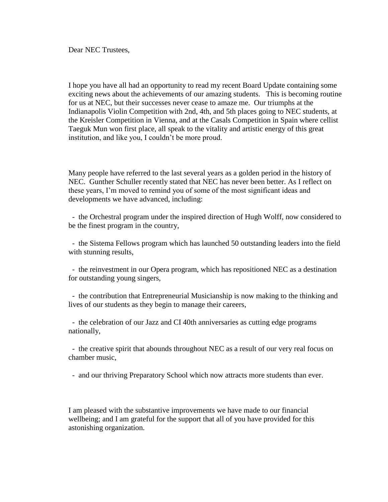Dear NEC Trustees,

I hope you have all had an opportunity to read my recent Board Update containing some exciting news about the achievements of our amazing students. This is becoming routine for us at NEC, but their successes never cease to amaze me. Our triumphs at the Indianapolis Violin Competition with 2nd, 4th, and 5th places going to NEC students, at the Kreisler Competition in Vienna, and at the Casals Competition in Spain where cellist Taeguk Mun won first place, all speak to the vitality and artistic energy of this great institution, and like you, I couldn't be more proud.

Many people have referred to the last several years as a golden period in the history of NEC. Gunther Schuller recently stated that NEC has never been better. As I reflect on these years, I'm moved to remind you of some of the most significant ideas and developments we have advanced, including:

- the Orchestral program under the inspired direction of Hugh Wolff, now considered to be the finest program in the country,

- the Sistema Fellows program which has launched 50 outstanding leaders into the field with stunning results,

- the reinvestment in our Opera program, which has repositioned NEC as a destination for outstanding young singers,

- the contribution that Entrepreneurial Musicianship is now making to the thinking and lives of our students as they begin to manage their careers,

- the celebration of our Jazz and CI 40th anniversaries as cutting edge programs nationally,

- the creative spirit that abounds throughout NEC as a result of our very real focus on chamber music,

- and our thriving Preparatory School which now attracts more students than ever.

I am pleased with the substantive improvements we have made to our financial wellbeing; and I am grateful for the support that all of you have provided for this astonishing organization.